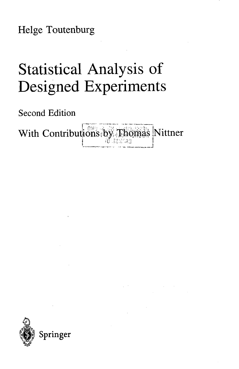Helge Toutenburg

## Statistical Analysis of Designed Experiments

Second Edition

With Contributions by Thomas Nittner **I** *;G.1C'/::A:<*

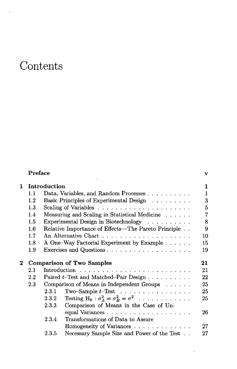## Contents

|              | Preface                          |       |                                                               | v              |  |
|--------------|----------------------------------|-------|---------------------------------------------------------------|----------------|--|
| $\mathbf{1}$ | Introduction                     |       |                                                               | 1              |  |
|              | 1.1                              |       | Data, Variables, and Random Processes                         | $\mathbf{1}$   |  |
|              | $1.2\,$                          |       | Basic Principles of Experimental Design                       | 3              |  |
|              | $1.3\,$                          |       |                                                               | 5              |  |
|              | 1.4                              |       | Measuring and Scaling in Statistical Medicine                 | $\overline{7}$ |  |
|              | 1.5                              |       | Experimental Design in Biotechnology                          | 8              |  |
|              | $1.6\,$                          |       | Relative Importance of Effects—The Pareto Principle           | 9              |  |
|              | 1.7                              |       |                                                               | 10             |  |
|              | $1.8\,$                          |       | A One-Way Factorial Experiment by Example                     | 15             |  |
|              | 1.9 <sup>°</sup>                 |       | Exercises and Questions                                       | 19             |  |
| $\bf{2}^-$   | <b>Comparison of Two Samples</b> |       |                                                               | 21             |  |
|              | $2.1\,$                          |       |                                                               |                |  |
|              | $2.2\,$                          |       | Paired t-Test and Matched-Pair Design                         |                |  |
|              | $2.3\,$                          |       | Comparison of Means in Independent Groups                     |                |  |
|              |                                  | 2.3.1 | Two-Sample $t$ -Test                                          | 25             |  |
|              |                                  | 2.3.2 | Testing H <sub>0</sub> : $\sigma_A^2 = \sigma_B^2 = \sigma^2$ | 25             |  |
|              |                                  | 2.3.3 | Comparison of Means in the Case of Un-                        |                |  |
|              |                                  |       | equal Variances                                               | 26             |  |
|              |                                  | 2.3.4 | Transformations of Data to Assure                             |                |  |
|              |                                  |       | Homogeneity of Variances                                      | 27             |  |
|              |                                  | 2.3.5 | Necessary Sample Size and Power of the Test                   | 27             |  |
|              |                                  |       |                                                               |                |  |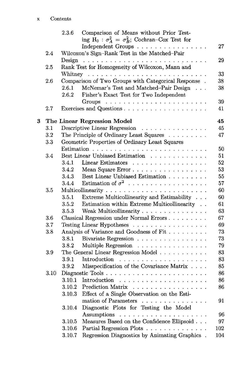|   |      | 2.3.6                                          | Comparison of Means without Prior Test-                               |     |  |
|---|------|------------------------------------------------|-----------------------------------------------------------------------|-----|--|
|   |      |                                                | ing H <sub>0</sub> : $\sigma_A^2 = \sigma_B^2$ ; Cochran-Cox Test for |     |  |
|   |      |                                                | Independent Groups                                                    | 27  |  |
|   | 2.4  |                                                | Wilcoxon's Sign-Rank Test in the Matched-Pair                         |     |  |
|   |      |                                                |                                                                       | 29  |  |
|   | 2.5  |                                                | Rank Test for Homogeneity of Wilcoxon, Mann and                       |     |  |
|   |      |                                                |                                                                       | 33  |  |
|   | 2.6  |                                                | Comparison of Two Groups with Categorical Response.                   | 38  |  |
|   |      | 2.6.1                                          | McNemar's Test and Matched-Pair Design                                | 38  |  |
|   |      | 2.6.2                                          | Fisher's Exact Test for Two Independent                               |     |  |
|   |      |                                                |                                                                       | 39  |  |
|   | 2.7  |                                                |                                                                       | 41  |  |
| 3 |      |                                                | The Linear Regression Model                                           | 45  |  |
|   | 3.1  |                                                | Descriptive Linear Regression                                         | 45  |  |
|   | 3.2  |                                                | The Principle of Ordinary Least Squares                               | 47  |  |
|   | 3.3  |                                                | Geometric Properties of Ordinary Least Squares                        |     |  |
|   |      |                                                |                                                                       | 50  |  |
|   | 3.4  |                                                | Best Linear Unbiased Estimation                                       | 51  |  |
|   |      | 3.4.1                                          | Linear Estimators                                                     | 52  |  |
|   |      | 3.4.2                                          | Mean Square Error                                                     | 53  |  |
|   |      | 3.4.3                                          | Best Linear Unbiased Estimation                                       | 55  |  |
|   |      | 3.4.4                                          | Estimation of $\sigma^2$ ,                                            | 57  |  |
|   | 3.5  |                                                |                                                                       | 60  |  |
|   |      | 3.5.1                                          | Extreme Multicollinearity and Estimability                            | 60  |  |
|   |      | 3.5.2                                          | Estimation within Extreme Multicollinearity $\hfill$ .                | 61  |  |
|   |      | 3.5.3                                          | Weak Multicollinearity                                                | 63  |  |
|   | 3.6  | Classical Regression under Normal Errors<br>67 |                                                                       |     |  |
|   | 3.7  | Testing Linear Hypotheses<br>69                |                                                                       |     |  |
|   | 3.8  |                                                | Analysis of Variance and Goodness of Fit                              | 73  |  |
|   |      | 3.8.1                                          | Bivariate Regression                                                  | 73  |  |
|   |      | 3.8.2                                          | Multiple Regression                                                   | 79  |  |
|   | 3.9  |                                                | The General Linear Regression Model                                   | 83  |  |
|   |      | 3.9.1                                          |                                                                       | 83  |  |
|   |      | 3.9.2                                          | Misspecification of the Covariance Matrix                             | 85  |  |
|   | 3.10 |                                                | Diagnostic Tools                                                      | 86  |  |
|   |      |                                                |                                                                       | 86  |  |
|   |      |                                                | 3.10.2 Prediction Matrix                                              | 86  |  |
|   |      | 3.10.3                                         | Effect of a Single Observation on the Esti-                           |     |  |
|   |      |                                                | mation of Parameters                                                  | 91  |  |
|   |      | 3.10.4                                         | Diagnostic Plots for Testing the Model                                |     |  |
|   |      |                                                |                                                                       | 96  |  |
|   |      | 3.10.5                                         | Measures Based on the Confidence Ellipsoid                            | 97  |  |
|   |      | 3.10.6                                         | Partial Regression Plots                                              | 102 |  |
|   |      | 3.10.7                                         | Regression Diagnostics by Animating Graphics.                         | 104 |  |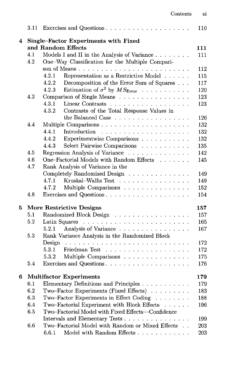|   |     |                                                                                                  | 110 |
|---|-----|--------------------------------------------------------------------------------------------------|-----|
| 4 |     | Single-Factor Experiments with Fixed                                                             |     |
|   |     | and Random Effects                                                                               | 111 |
|   | 4.1 | Models I and II in the Analysis of Variance                                                      | 111 |
|   | 4.2 | One-Way Classification for the Multiple Compari-                                                 |     |
|   |     |                                                                                                  | 112 |
|   |     | 4.2.1<br>Representation as a Restrictive Model                                                   | 115 |
|   |     | 4.2.2<br>Decomposition of the Error Sum of Squares                                               | 117 |
|   |     | 4.2.3<br>Estimation of $\sigma^2$ by $MS_{\text{Error}}$                                         | 120 |
|   | 4.3 | Comparison of Single Means                                                                       | 123 |
|   |     | 4.3.1<br>Linear Contrasts                                                                        | 123 |
|   |     | 4.3.2<br>Contrasts of the Total Response Values in                                               |     |
|   |     | the Balanced Case $\dots \dots \dots \dots \dots \dots$                                          | 126 |
|   | 4.4 |                                                                                                  | 132 |
|   |     | 4.4.1                                                                                            | 132 |
|   |     | 4.4.2<br>Experimentwise Comparisons                                                              | 132 |
|   |     | Select Pairwise Comparisons<br>4.4.3                                                             | 135 |
|   | 4.5 | Regression Analysis of Variance                                                                  | 142 |
|   | 4.6 | One–Factorial Models with Random Effects                                                         | 145 |
|   | 4.7 | Rank Analysis of Variance in the                                                                 |     |
|   |     | Completely Randomized Design                                                                     | 149 |
|   |     | 4.7.1<br>Kruskal–Wallis Test                                                                     | 149 |
|   |     | 4.7.2<br>Multiple Comparisons                                                                    | 152 |
|   | 4.8 |                                                                                                  | 154 |
| 5 |     | <b>More Restrictive Designs</b>                                                                  | 157 |
|   | 5.1 | Randomized Block Design                                                                          | 157 |
|   | 5.2 |                                                                                                  | 165 |
|   |     | 5.2.1<br>Analysis of Variance                                                                    | 167 |
|   | 5.3 | Rank Variance Analysis in the Randomized Block                                                   |     |
|   |     | Design                                                                                           | 172 |
|   |     | 5.3.1                                                                                            | 172 |
|   |     | Multiple Comparisons<br>5.3.2                                                                    | 175 |
|   | 5.4 |                                                                                                  | 176 |
| 6 |     | <b>Multifactor Experiments</b>                                                                   | 179 |
|   |     | 6.1 Elementary Definitions and Principles                                                        | 179 |
|   | 6.2 | Two-Factor Experiments (Fixed Effects)                                                           | 183 |
|   | 6.3 | Two-Factor Experiments in Effect Coding<br>.                                                     | 188 |
|   | 6.4 | Two-Factorial Experiment with Block Effects<br>$\mathbf{1}$ . The set of the set of $\mathbf{1}$ | 196 |
|   | 6.5 | Two-Factorial Model with Fixed Effects-Confidence                                                |     |
|   |     | Intervals and Elementary Tests                                                                   | 199 |
|   | 6.6 | Two-Factorial Model with Random or Mixed Effects                                                 | 203 |
|   |     | Model with Random Effects<br>6.6.1                                                               | 203 |
|   |     |                                                                                                  |     |

 $\sim$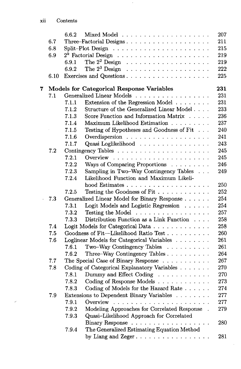$\mathcal{S}^{\mathcal{A}}$ 

|   |      | 6.6.2 |                                                         | 207 |
|---|------|-------|---------------------------------------------------------|-----|
|   | 6.7  |       | Three-Factorial Designs                                 | 211 |
|   | 6.8  |       |                                                         |     |
|   | 6.9  |       |                                                         | 219 |
|   |      | 6.9.1 |                                                         | 219 |
|   |      | 6.9.2 |                                                         | 222 |
|   | 6.10 |       | Exercises and Questions                                 | 225 |
| 7 |      |       | Models for Categorical Response Variables               | 231 |
|   | 7.1  |       | Generalized Linear Models                               | 231 |
|   |      | 7.1.1 | Extension of the Regression Model                       | 231 |
|   |      | 7.1.2 | Structure of the Generalized Linear Model               | 233 |
|   |      | 7.1.3 | Score Function and Information Matrix                   | 236 |
|   |      | 7.1.4 | Maximum Likelihood Estimation                           | 237 |
|   |      | 7.1.5 | Testing of Hypotheses and Goodness of Fit               | 240 |
|   |      | 7.1.6 |                                                         | 241 |
|   |      | 7.1.7 | Quasi Loglikelihood                                     | 243 |
|   | 7.2  |       |                                                         | 245 |
|   |      | 7.2.1 |                                                         | 245 |
|   |      | 7.2.2 | Ways of Comparing Proportions                           | 246 |
|   |      | 7.2.3 | Sampling in Two-Way Contingency Tables                  | 249 |
|   |      | 7.2.4 | Likelihood Function and Maximum Likeli-                 |     |
|   |      |       |                                                         | 250 |
|   |      | 7.2.5 | Testing the Goodness of Fit                             | 252 |
|   | 7.3  |       | Generalized Linear Model for Binary Response            | 254 |
|   |      | 7.3.1 | Logit Models and Logistic Regression                    | 254 |
|   |      | 7.3.2 | Testing the Model $\dots \dots \dots \dots \dots \dots$ | 257 |
|   |      | 7.3.3 | Distribution Function as a Link Function                | 258 |
|   | 7.4  |       | Logit Models for Categorical Data                       | 258 |
|   | 7.5  |       | Goodness of Fit-Likelihood Ratio Test                   | 260 |
|   | 7.6  |       | Loglinear Models for Categorical Variables              | 261 |
|   |      | 7.6.1 | Two-Way Contingency Tables                              | 261 |
|   |      | 7.6.2 | Three–Way Contingency Tables                            | 264 |
|   | 7.7  |       | The Special Case of Binary Response                     | 267 |
|   | 7.8  |       | Coding of Categorical Explanatory Variables             | 270 |
|   |      | 7.8.1 | Dummy and Effect Coding                                 | 270 |
|   |      | 7.8.2 | Coding of Response Models                               | 273 |
|   |      | 7.8.3 | Coding of Models for the Hazard Rate                    | 274 |
|   | 7.9  |       | Extensions to Dependent Binary Variables                | 277 |
|   |      | 7.9.1 | Overview                                                | 277 |
|   |      | 7.9.2 | Modeling Approaches for Correlated Response.            | 279 |
|   |      | 7.9.3 | Quasi-Likelihood Approach for Correlated                |     |
|   |      |       | Binary Response                                         | 280 |
|   |      | 7.9.4 | The Generalized Estimating Equation Method              |     |
|   |      |       |                                                         | 281 |

 $\sim$ 

 $\bar{r}$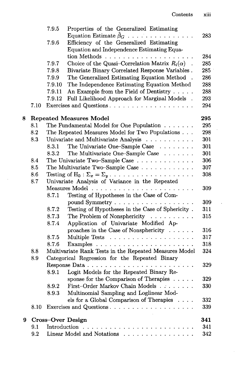|   |      | 7.9.5                                           | Properties of the Generalized Estimating                                |     |  |  |
|---|------|-------------------------------------------------|-------------------------------------------------------------------------|-----|--|--|
|   |      |                                                 | Equation Estimate $\hat{\beta}_G$                                       | 283 |  |  |
|   |      | 7.9.6                                           | Efficiency of the Generalized Estimating                                |     |  |  |
|   |      |                                                 | Equation and Independence Estimating Equa-                              |     |  |  |
|   |      |                                                 |                                                                         | 284 |  |  |
|   |      | 7.9.7                                           | Choice of the Quasi-Correlation Matrix $R_i(\alpha)$ .                  | 285 |  |  |
|   |      | 7.9.8                                           | Bivariate Binary Correlated Response Variables.                         | 285 |  |  |
|   |      | 7.9.9                                           | The Generalized Estimating Equation Method                              | 286 |  |  |
|   |      | 7.9.10                                          | The Independence Estimating Equation Method                             | 288 |  |  |
|   |      | 7.9.11                                          | An Example from the Field of Dentistry                                  | 288 |  |  |
|   |      | 7.9.12                                          | Full Likelihood Approach for Marginal Models.                           | 293 |  |  |
|   | 7.10 |                                                 | Exercises and Questions                                                 | 294 |  |  |
| 8 |      |                                                 | <b>Repeated Measures Model</b>                                          | 295 |  |  |
|   | 8.1  |                                                 | The Fundamental Model for One Population                                | 295 |  |  |
|   | 8.2  |                                                 | The Repeated Measures Model for Two Populations                         | 298 |  |  |
|   | 8.3  |                                                 | Univariate and Multivariate Analysis                                    | 301 |  |  |
|   |      | 8.3.1                                           | The Univariate One-Sample Case                                          | 301 |  |  |
|   |      | 8.3.2                                           | The Multivariate One-Sample Case                                        | 301 |  |  |
|   | 8.4  |                                                 | The Univariate Two-Sample Case $\ldots$                                 | 306 |  |  |
|   | 8.5  |                                                 | The Multivariate Two-Sample Case                                        | 307 |  |  |
|   | 8.6  |                                                 | Testing of H <sub>0</sub> : $\Sigma_x = \Sigma_y$                       | 308 |  |  |
|   | 8.7  | Univariate Analysis of Variance in the Repeated |                                                                         |     |  |  |
|   |      |                                                 |                                                                         | 309 |  |  |
|   |      | 8.7.1                                           | Testing of Hypotheses in the Case of Com-                               |     |  |  |
|   |      |                                                 | pound Symmetry                                                          | 309 |  |  |
|   |      | 8.7.2                                           | Testing of Hypotheses in the Case of Sphericity.                        | 311 |  |  |
|   |      | 8.7.3                                           | The Problem of Nonsphericity<br>$\cdot$ $\cdot$ $\cdot$ $\cdot$ $\cdot$ | 315 |  |  |
|   |      | 8.7.4                                           | Application of Univariate Modified Ap-                                  |     |  |  |
|   |      |                                                 | proaches in the Case of Nonsphericity $\ldots \ldots$                   | 316 |  |  |
|   |      | 8.7.5                                           |                                                                         | 317 |  |  |
|   |      | 8.7.6                                           |                                                                         | 318 |  |  |
|   | 8.8  |                                                 | Multivariate Rank Tests in the Repeated Measures Model                  | 324 |  |  |
|   | 8.9  |                                                 | Categorical Regression for the Repeated Binary                          |     |  |  |
|   |      |                                                 |                                                                         | 329 |  |  |
|   |      | 8.9.1                                           | Logit Models for the Repeated Binary Re-                                |     |  |  |
|   |      |                                                 | sponse for the Comparison of Therapies $\ldots$ .                       | 329 |  |  |
|   |      |                                                 | 8.9.2 First-Order Markov Chain Models                                   | 330 |  |  |
|   |      | 8.9.3                                           | Multinomial Sampling and Loglinear Mod-                                 |     |  |  |
|   |      |                                                 | els for a Global Comparison of Therapies                                | 332 |  |  |
|   | 8.10 |                                                 | Exercises and Questions                                                 | 339 |  |  |
| 9 |      | 341<br><b>Cross-Over Design</b>                 |                                                                         |     |  |  |
|   | 9.1  |                                                 |                                                                         | 341 |  |  |
|   | 9.2  |                                                 | Linear Model and Notations                                              | 342 |  |  |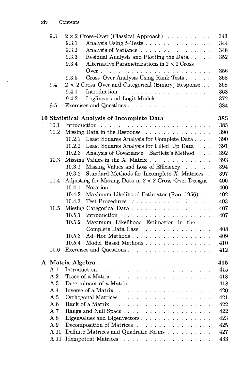$\hat{\boldsymbol{\beta}}$ 

 $\sim$ 

| 9.3                                                | $2 \times 2$ Cross-Over (Classical Approach)<br>343                  |  |  |  |
|----------------------------------------------------|----------------------------------------------------------------------|--|--|--|
|                                                    | 9.3.1<br>Analysis Using $t$ -Tests<br>344                            |  |  |  |
|                                                    | 9.3.2<br>Analysis of Variance<br>348                                 |  |  |  |
|                                                    | 9.3.3<br>Residual Analysis and Plotting the Data<br>352              |  |  |  |
|                                                    | 9.3.4<br>Alternative Parametrizations in $2 \times 2$ Cross-         |  |  |  |
|                                                    | 356                                                                  |  |  |  |
|                                                    | Cross-Over Analysis Using Rank Tests<br>9.3.5<br>368                 |  |  |  |
| 9.4                                                | $2 \times 2$ Cross-Over and Categorical (Binary) Response<br>368     |  |  |  |
|                                                    | 9.4.1<br>Introduction<br>368<br>.                                    |  |  |  |
|                                                    | 9.4.2<br>Loglinear and Logit Models<br>372                           |  |  |  |
| 9.5                                                | Exercises and Questions<br>384                                       |  |  |  |
|                                                    | 385<br>10 Statistical Analysis of Incomplete Data                    |  |  |  |
| 10.1                                               | 385                                                                  |  |  |  |
| 10.2                                               | Missing Data in the Response<br>390                                  |  |  |  |
| Least Squares Analysis for Complete Data<br>10.2.1 |                                                                      |  |  |  |
|                                                    | 390<br>Least Squares Analysis for Filled-Up Data<br>10.2.2<br>391    |  |  |  |
|                                                    | Analysis of Covariance—Bartlett's Method<br>10.2.3<br>392            |  |  |  |
| 10.3                                               | Missing Values in the $X$ -Matrix $\ldots$<br>393                    |  |  |  |
|                                                    | 10.3.1<br>Missing Values and Loss of Efficiency<br>394               |  |  |  |
|                                                    | 10.3.2<br>Standard Methods for Incomplete $X$ -Matrices.<br>397      |  |  |  |
| 10.4                                               | Adjusting for Missing Data in $2 \times 2$ Cross-Over Designs<br>400 |  |  |  |
|                                                    | 10.4.1<br>400                                                        |  |  |  |
|                                                    | 10.4.2<br>Maximum Likelihood Estimator (Rao, 1956).<br>402           |  |  |  |
|                                                    | 10.4.3<br>Test Procedures<br>403                                     |  |  |  |
| 10.5                                               | Missing Categorical Data<br>407                                      |  |  |  |
|                                                    | 10.5.1<br>407                                                        |  |  |  |
|                                                    | 10.5.2<br>Maximum Likelihood Estimation in the                       |  |  |  |
|                                                    | Complete Data Case<br>408                                            |  |  |  |
|                                                    | Ad-Hoc Methods<br>10.5.3<br>409                                      |  |  |  |
|                                                    | 10.5.4<br>Model–Based Methods<br>410                                 |  |  |  |
| 10.6                                               | 412                                                                  |  |  |  |
|                                                    | A Matrix Algebra<br>415                                              |  |  |  |
| A.1                                                | 415                                                                  |  |  |  |
| A.2                                                | 418                                                                  |  |  |  |
| A.3                                                | Determinant of a Matrix<br>418                                       |  |  |  |
| A 4                                                | 420<br>Inverse of a Matrix                                           |  |  |  |
| A.5                                                | Orthogonal Matrices<br>421                                           |  |  |  |
| A.6                                                | Rank of a Matrix<br>422                                              |  |  |  |
| A.7                                                | 422                                                                  |  |  |  |
| A.8                                                | Eigenvalues and Eigenvectors<br>423                                  |  |  |  |
| A.9                                                | Decomposition of Matrices<br>425                                     |  |  |  |
| A.10                                               | Definite Matrices and Quadratic Forms<br>427                         |  |  |  |
| A.11                                               | 433                                                                  |  |  |  |
|                                                    |                                                                      |  |  |  |

 $\sim$